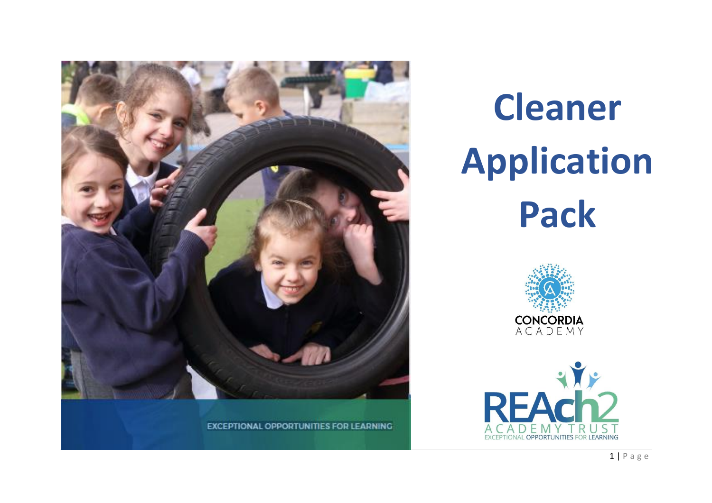

# **Cleaner Application Pack**



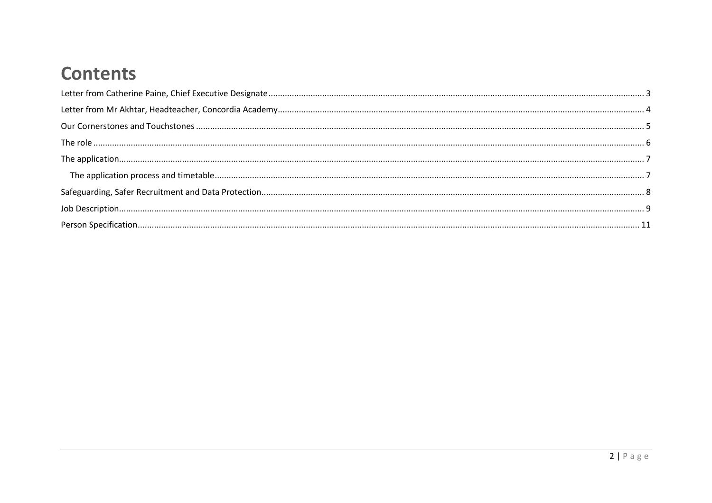### **Contents**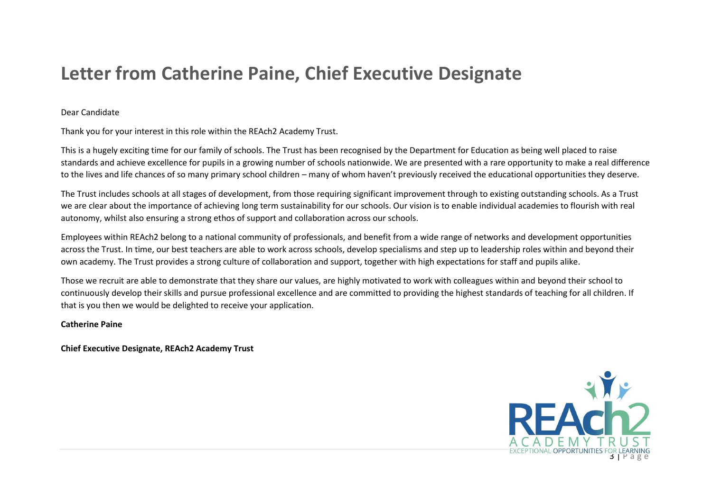### <span id="page-2-0"></span>**Letter from Catherine Paine, Chief Executive Designate**

#### Dear Candidate

Thank you for your interest in this role within the REAch2 Academy Trust.

This is a hugely exciting time for our family of schools. The Trust has been recognised by the Department for Education as being well placed to raise standards and achieve excellence for pupils in a growing number of schools nationwide. We are presented with a rare opportunity to make a real difference to the lives and life chances of so many primary school children – many of whom haven't previously received the educational opportunities they deserve.

The Trust includes schools at all stages of development, from those requiring significant improvement through to existing outstanding schools. As a Trust we are clear about the importance of achieving long term sustainability for our schools. Our vision is to enable individual academies to flourish with real autonomy, whilst also ensuring a strong ethos of support and collaboration across our schools.

Employees within REAch2 belong to a national community of professionals, and benefit from a wide range of networks and development opportunities across the Trust. In time, our best teachers are able to work across schools, develop specialisms and step up to leadership roles within and beyond their own academy. The Trust provides a strong culture of collaboration and support, together with high expectations for staff and pupils alike.

Those we recruit are able to demonstrate that they share our values, are highly motivated to work with colleagues within and beyond their school to continuously develop their skills and pursue professional excellence and are committed to providing the highest standards of teaching for all children. If that is you then we would be delighted to receive your application.

#### **Catherine Paine**

**Chief Executive Designate, REAch2 Academy Trust**

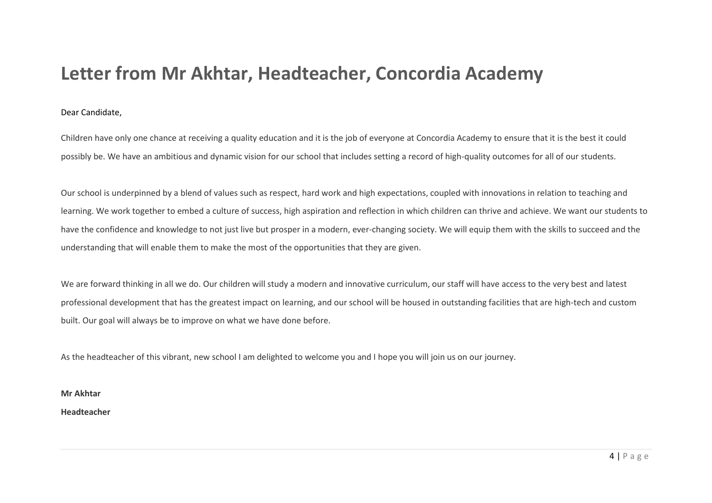### <span id="page-3-0"></span>**Letter from Mr Akhtar, Headteacher, Concordia Academy**

#### Dear Candidate,

Children have only one chance at receiving a quality education and it is the job of everyone at Concordia Academy to ensure that it is the best it could possibly be. We have an ambitious and dynamic vision for our school that includes setting a record of high-quality outcomes for all of our students.

Our school is underpinned by a blend of values such as respect, hard work and high expectations, coupled with innovations in relation to teaching and learning. We work together to embed a culture of success, high aspiration and reflection in which children can thrive and achieve. We want our students to have the confidence and knowledge to not just live but prosper in a modern, ever-changing society. We will equip them with the skills to succeed and the understanding that will enable them to make the most of the opportunities that they are given.

We are forward thinking in all we do. Our children will study a modern and innovative curriculum, our staff will have access to the very best and latest professional development that has the greatest impact on learning, and our school will be housed in outstanding facilities that are high-tech and custom built. Our goal will always be to improve on what we have done before.

As the headteacher of this vibrant, new school I am delighted to welcome you and I hope you will join us on our journey.

**Mr Akhtar**

**Headteacher**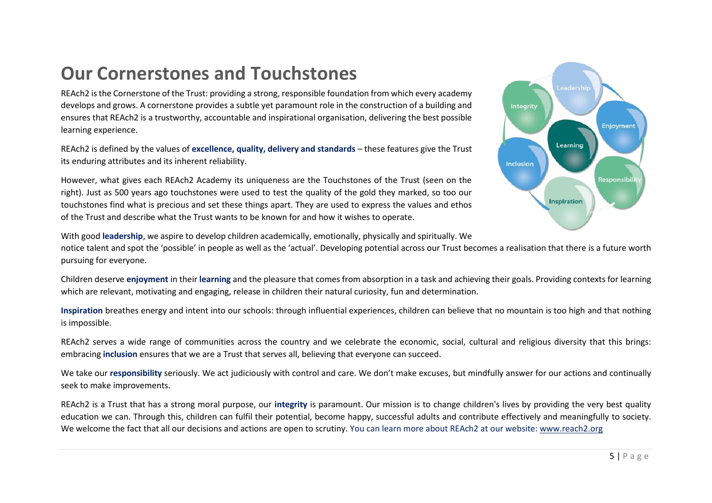### <span id="page-4-0"></span>**Our Cornerstones and Touchstones**

REAch2 is the Cornerstone of the Trust: providing a strong, responsible foundation from which every academy develops and grows. A cornerstone provides a subtle yet paramount role in the construction of a building and ensures that REAch2 is a trustworthy, accountable and inspirational organisation, delivering the best possible learning experience.

REAch2 is defined by the values of **excellence, quality, delivery and standards** – these features give the Trust its enduring attributes and its inherent reliability.

However, what gives each REAch2 Academy its uniqueness are the Touchstones of the Trust (seen on the right). Just as 500 years ago touchstones were used to test the quality of the gold they marked, so too our touchstones find what is precious and set these things apart. They are used to express the values and ethos of the Trust and describe what the Trust wants to be known for and how it wishes to operate.



With good **leadership**, we aspire to develop children academically, emotionally, physically and spiritually. We

notice talent and spot the 'possible' in people as well as the 'actual'. Developing potential across our Trust becomes a realisation that there is a future worth pursuing for everyone.

Children deserve **enjoyment** in their **learning** and the pleasure that comes from absorption in a task and achieving their goals. Providing contexts for learning which are relevant, motivating and engaging, release in children their natural curiosity, fun and determination.

**Inspiration** breathes energy and intent into our schools: through influential experiences, children can believe that no mountain is too high and that nothing is impossible.

REAch2 serves a wide range of communities across the country and we celebrate the economic, social, cultural and religious diversity that this brings: embracing **inclusion** ensures that we are a Trust that serves all, believing that everyone can succeed.

We take our **responsibility** seriously. We act judiciously with control and care. We don't make excuses, but mindfully answer for our actions and continually seek to make improvements.

REAch2 is a Trust that has a strong moral purpose, our **integrity** is paramount. Our mission is to change children's lives by providing the very best quality education we can. Through this, children can fulfil their potential, become happy, successful adults and contribute effectively and meaningfully to society. We welcome the fact that all our decisions and actions are open to scrutiny. You can learn more about REAch2 at our website: [www.reach2.org](http://www.reach2.org/)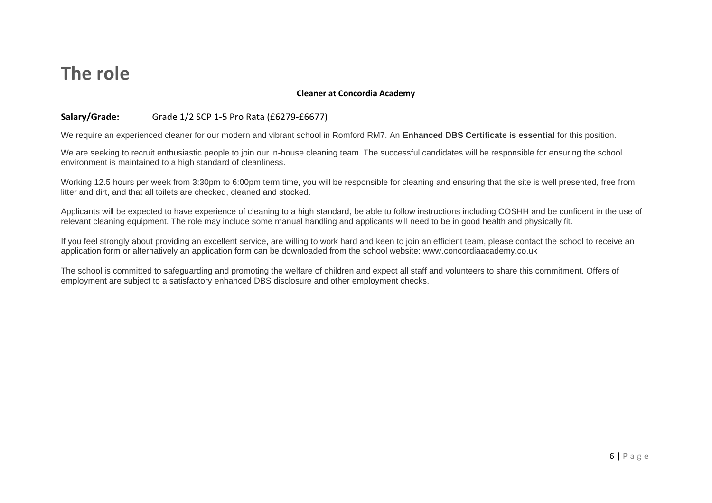### <span id="page-5-0"></span>**The role**

#### **Cleaner at Concordia Academy**

#### **Salary/Grade:** Grade 1/2 SCP 1-5 Pro Rata (£6279-£6677)

We require an experienced cleaner for our modern and vibrant school in Romford RM7. An **Enhanced DBS Certificate is essential** for this position.

We are seeking to recruit enthusiastic people to join our in-house cleaning team. The successful candidates will be responsible for ensuring the school environment is maintained to a high standard of cleanliness.

Working 12.5 hours per week from 3:30pm to 6:00pm term time, you will be responsible for cleaning and ensuring that the site is well presented, free from litter and dirt, and that all toilets are checked, cleaned and stocked.

Applicants will be expected to have experience of cleaning to a high standard, be able to follow instructions including COSHH and be confident in the use of relevant cleaning equipment. The role may include some manual handling and applicants will need to be in good health and physically fit.

If you feel strongly about providing an excellent service, are willing to work hard and keen to join an efficient team, please contact the school to receive an application form or alternatively an application form can be downloaded from the school website: www.concordiaacademy.co.uk

The school is committed to safeguarding and promoting the welfare of children and expect all staff and volunteers to share this commitment. Offers of employment are subject to a satisfactory enhanced DBS disclosure and other employment checks.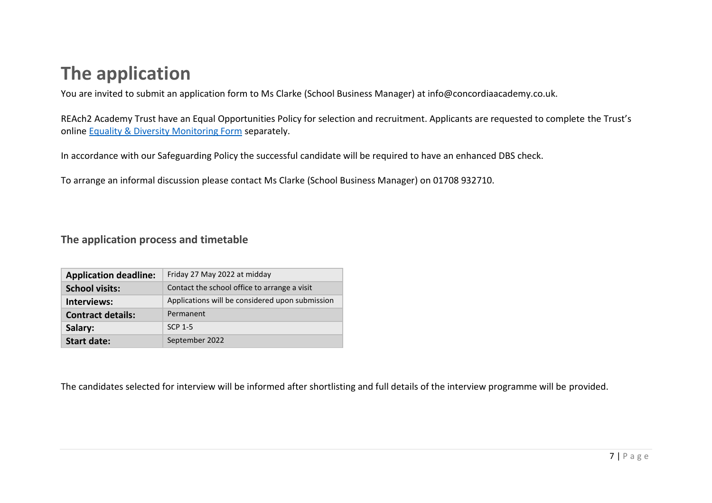### <span id="page-6-0"></span>**The application**

You are invited to submit an application form to Ms Clarke (School Business Manager) at info@concordiaacademy.co.uk.

REAch2 Academy Trust have an Equal Opportunities Policy for selection and recruitment. Applicants are requested to complete the Trust's online [Equality & Diversity Monitoring Form](https://forms.office.com/Pages/ResponsePage.aspx?id=EGorfMwEtEi30d9QFOXXNJ4DEcgd411KhzIQrNunT_hUMlJXTkhNVlE0SlhKV0FWTEk2Wkw1TTUwRS4u) separately.

In accordance with our Safeguarding Policy the successful candidate will be required to have an enhanced DBS check.

To arrange an informal discussion please contact Ms Clarke (School Business Manager) on 01708 932710.

#### <span id="page-6-1"></span>**The application process and timetable**

| <b>Application deadline:</b> | Friday 27 May 2022 at midday                    |
|------------------------------|-------------------------------------------------|
| <b>School visits:</b>        | Contact the school office to arrange a visit    |
| Interviews:                  | Applications will be considered upon submission |
| <b>Contract details:</b>     | Permanent                                       |
| Salary:                      | SCP 1-5                                         |
| <b>Start date:</b>           | September 2022                                  |

The candidates selected for interview will be informed after shortlisting and full details of the interview programme will be provided.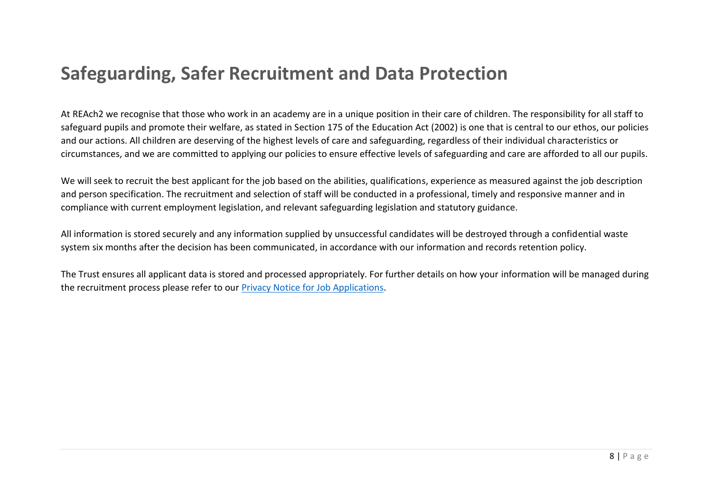### <span id="page-7-0"></span>**Safeguarding, Safer Recruitment and Data Protection**

At REAch2 we recognise that those who work in an academy are in a unique position in their care of children. The responsibility for all staff to safeguard pupils and promote their welfare, as stated in Section 175 of the Education Act (2002) is one that is central to our ethos, our policies and our actions. All children are deserving of the highest levels of care and safeguarding, regardless of their individual characteristics or circumstances, and we are committed to applying our policies to ensure effective levels of safeguarding and care are afforded to all our pupils.

We will seek to recruit the best applicant for the job based on the abilities, qualifications, experience as measured against the job description and person specification. The recruitment and selection of staff will be conducted in a professional, timely and responsive manner and in compliance with current employment legislation, and relevant safeguarding legislation and statutory guidance.

All information is stored securely and any information supplied by unsuccessful candidates will be destroyed through a confidential waste system six months after the decision has been communicated, in accordance with our information and records retention policy.

The Trust ensures all applicant data is stored and processed appropriately. For further details on how your information will be managed during the recruitment process please refer to our [Privacy Notice for Job Applications.](https://reach2.org/wp-content/uploads/2020/01/Privacy-Notice-Job-Applications.pdf)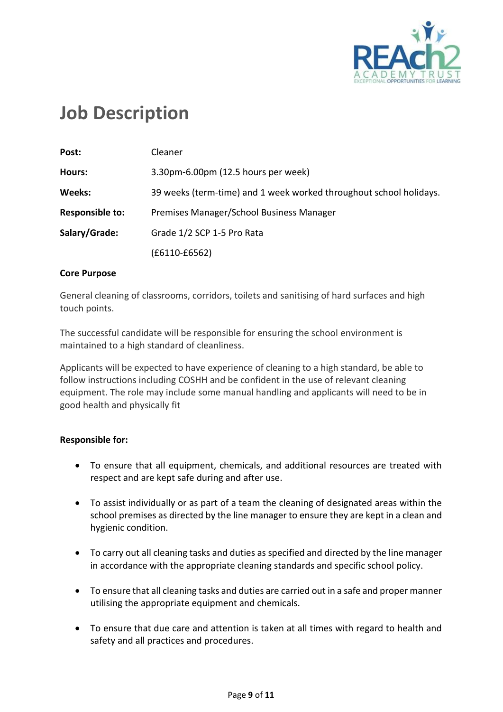

### <span id="page-8-0"></span>**Job Description**

| Post:                  | Cleaner                                                            |  |
|------------------------|--------------------------------------------------------------------|--|
| Hours:                 | 3.30pm-6.00pm (12.5 hours per week)                                |  |
| Weeks:                 | 39 weeks (term-time) and 1 week worked throughout school holidays. |  |
| <b>Responsible to:</b> | Premises Manager/School Business Manager                           |  |
| Salary/Grade:          | Grade 1/2 SCP 1-5 Pro Rata                                         |  |
|                        | (£6110-£6562)                                                      |  |

#### **Core Purpose**

General cleaning of classrooms, corridors, toilets and sanitising of hard surfaces and high touch points.

The successful candidate will be responsible for ensuring the school environment is maintained to a high standard of cleanliness.

Applicants will be expected to have experience of cleaning to a high standard, be able to follow instructions including COSHH and be confident in the use of relevant cleaning equipment. The role may include some manual handling and applicants will need to be in good health and physically fit

#### **Responsible for:**

- To ensure that all equipment, chemicals, and additional resources are treated with respect and are kept safe during and after use.
- To assist individually or as part of a team the cleaning of designated areas within the school premises as directed by the line manager to ensure they are kept in a clean and hygienic condition.
- To carry out all cleaning tasks and duties as specified and directed by the line manager in accordance with the appropriate cleaning standards and specific school policy.
- To ensure that all cleaning tasks and duties are carried out in a safe and proper manner utilising the appropriate equipment and chemicals.
- To ensure that due care and attention is taken at all times with regard to health and safety and all practices and procedures.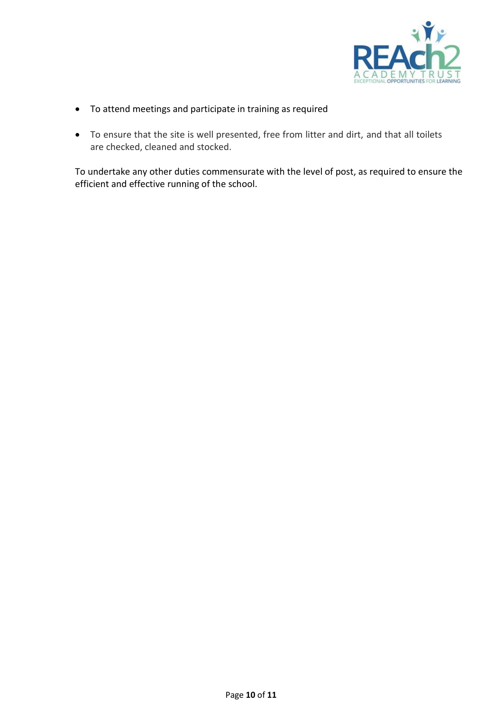

- To attend meetings and participate in training as required
- To ensure that the site is well presented, free from litter and dirt, and that all toilets are checked, cleaned and stocked.

To undertake any other duties commensurate with the level of post, as required to ensure the efficient and effective running of the school.